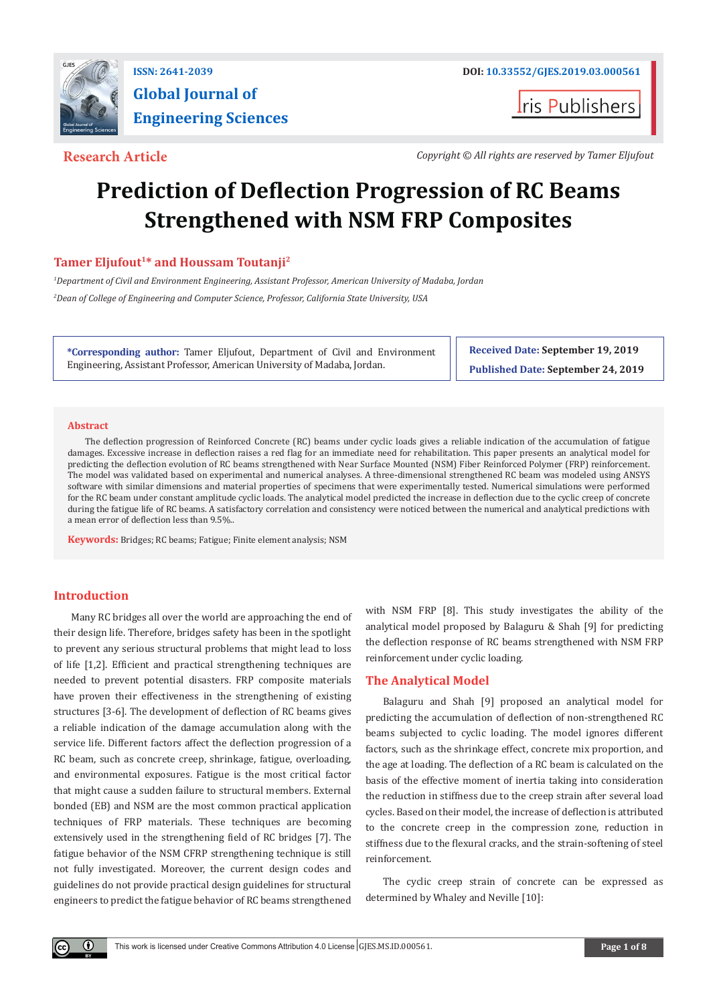

**I**ris Publishers

**Research Article** *Copyright © All rights are reserved by Tamer Eljufout*

# **Prediction of Deflection Progression of RC Beams Strengthened with NSM FRP Composites**

## **Tamer Eljufout<sup>1</sup>\* and Houssam Toutanji<sup>2</sup>**

*1 Department of Civil and Environment Engineering, Assistant Professor, American University of Madaba, Jordan 2 Dean of College of Engineering and Computer Science, Professor, California State University, USA*

**\*Corresponding author:** Tamer Eljufout, Department of Civil and Environment Engineering, Assistant Professor, American University of Madaba, Jordan.

**Received Date: September 19, 2019 Published Date: September 24, 2019**

#### **Abstract**

The deflection progression of Reinforced Concrete (RC) beams under cyclic loads gives a reliable indication of the accumulation of fatigue damages. Excessive increase in deflection raises a red flag for an immediate need for rehabilitation. This paper presents an analytical model for predicting the deflection evolution of RC beams strengthened with Near Surface Mounted (NSM) Fiber Reinforced Polymer (FRP) reinforcement. The model was validated based on experimental and numerical analyses. A three-dimensional strengthened RC beam was modeled using ANSYS software with similar dimensions and material properties of specimens that were experimentally tested. Numerical simulations were performed for the RC beam under constant amplitude cyclic loads. The analytical model predicted the increase in deflection due to the cyclic creep of concrete during the fatigue life of RC beams. A satisfactory correlation and consistency were noticed between the numerical and analytical predictions with a mean error of deflection less than 9.5%..

**Keywords:** Bridges; RC beams; Fatigue; Finite element analysis; NSM

### **Introduction**

 $\left( \mathbf{r} \right)$ 

Many RC bridges all over the world are approaching the end of their design life. Therefore, bridges safety has been in the spotlight to prevent any serious structural problems that might lead to loss of life [1,2]. Efficient and practical strengthening techniques are needed to prevent potential disasters. FRP composite materials have proven their effectiveness in the strengthening of existing structures [3-6]. The development of deflection of RC beams gives a reliable indication of the damage accumulation along with the service life. Different factors affect the deflection progression of a RC beam, such as concrete creep, shrinkage, fatigue, overloading, and environmental exposures. Fatigue is the most critical factor that might cause a sudden failure to structural members. External bonded (EB) and NSM are the most common practical application techniques of FRP materials. These techniques are becoming extensively used in the strengthening field of RC bridges [7]. The fatigue behavior of the NSM CFRP strengthening technique is still not fully investigated. Moreover, the current design codes and guidelines do not provide practical design guidelines for structural engineers to predict the fatigue behavior of RC beams strengthened with NSM FRP [8]. This study investigates the ability of the analytical model proposed by Balaguru & Shah [9] for predicting the deflection response of RC beams strengthened with NSM FRP reinforcement under cyclic loading.

#### **The Analytical Model**

Balaguru and Shah [9] proposed an analytical model for predicting the accumulation of deflection of non-strengthened RC beams subjected to cyclic loading. The model ignores different factors, such as the shrinkage effect, concrete mix proportion, and the age at loading. The deflection of a RC beam is calculated on the basis of the effective moment of inertia taking into consideration the reduction in stiffness due to the creep strain after several load cycles. Based on their model, the increase of deflection is attributed to the concrete creep in the compression zone, reduction in stiffness due to the flexural cracks, and the strain-softening of steel reinforcement.

The cyclic creep strain of concrete can be expressed as determined by Whaley and Neville [10]: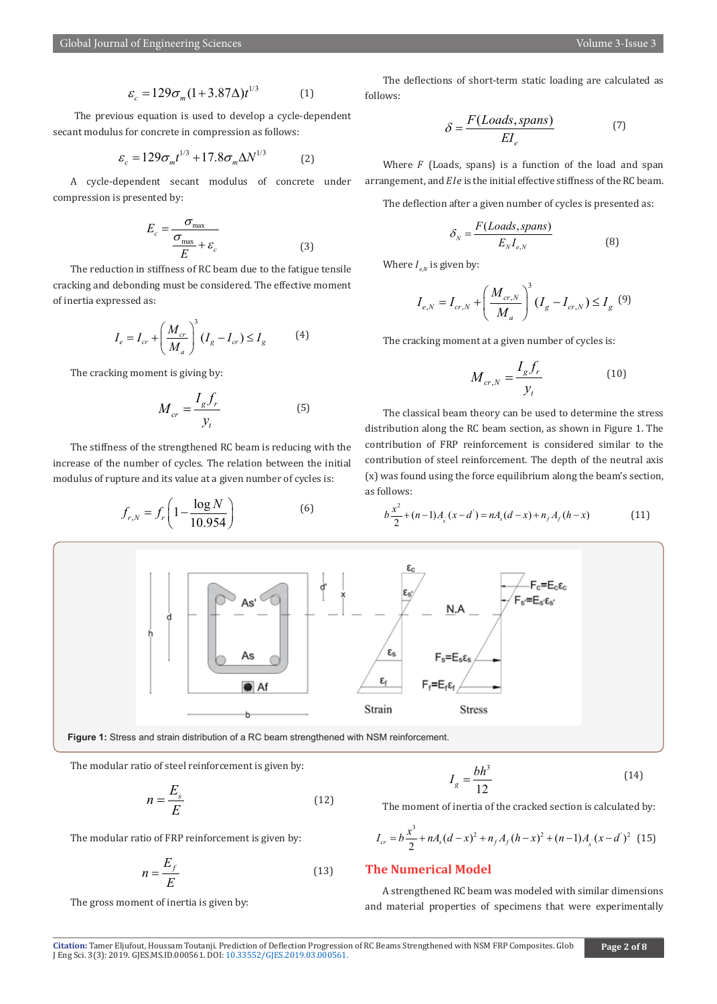$$
\varepsilon_c = 129 \sigma_m (1 + 3.87 \Delta) t^{1/3} \tag{1}
$$

 The previous equation is used to develop a cycle-dependent secant modulus for concrete in compression as follows:

$$
\varepsilon_c = 129 \sigma_m t^{1/3} + 17.8 \sigma_m \Delta N^{1/3}
$$
 (2)

A cycle-dependent secant modulus of concrete under compression is presented by:

$$
E_c = \frac{\sigma_{\text{max}}}{\frac{\sigma_{\text{max}}}{E} + \varepsilon_c}
$$
 (3)

The reduction in stiffness of RC beam due to the fatigue tensile cracking and debonding must be considered. The effective moment of inertia expressed as:

$$
I_e = I_{cr} + \left(\frac{M_{cr}}{M_a}\right)^3 (I_g - I_{cr}) \le I_g \tag{4}
$$

The cracking moment is giving by:

$$
M_{cr} = \frac{I_g f_r}{y_t} \tag{5}
$$

The stiffness of the strengthened RC beam is reducing with the increase of the number of cycles. The relation between the initial modulus of rupture and its value at a given number of cycles is:

$$
f_{r,N} = f_r \left( 1 - \frac{\log N}{10.954} \right) \tag{6}
$$

The deflections of short-term static loading are calculated as follows:

$$
\delta = \frac{F(Loads, spans)}{EI_e} \tag{7}
$$

Where  $F$  (Loads, spans) is a function of the load and span arrangement, and  $Ele$  is the initial effective stiffness of the RC beam.

The deflection after a given number of cycles is presented as:

$$
\delta_N = \frac{F(Loads, spans)}{E_N I_{e,N}}
$$
(8)

Where  $I_{e,N}$  is given by:

$$
I_{e,N} = I_{cr,N} + \left(\frac{M_{cr,N}}{M_a}\right)^3 (I_g - I_{cr,N}) \le I_g \tag{9}
$$

The cracking moment at a given number of cycles is:

$$
M_{cr,N} = \frac{I_g f_r}{y_t} \tag{10}
$$

The classical beam theory can be used to determine the stress distribution along the RC beam section, as shown in Figure 1. The contribution of FRP reinforcement is considered similar to the contribution of steel reinforcement. The depth of the neutral axis (x) was found using the force equilibrium along the beam's section, as follows:

$$
b\frac{x^2}{2} + (n-1)A_s(x-d') = nA_s(d-x) + n_fA_f(h-x)
$$
 (11)



**Figure 1:** Stress and strain distribution of a RC beam strengthened with NSM reinforcement.

The modular ratio of steel reinforcement is given by:

$$
n = \frac{E_s}{E} \tag{12}
$$

The modular ratio of FRP reinforcement is given by:

$$
n = \frac{E_f}{E} \tag{13}
$$

The gross moment of inertia is given by:

$$
I_g = \frac{bh^3}{12} \tag{14}
$$

The moment of inertia of the cracked section is calculated by:

$$
I_{cr} = b\frac{x^3}{2} + nA_s(d-x)^2 + n_fA_f(h-x)^2 + (n-1)A_s(x-d')^2
$$
 (15)

#### **The Numerical Model**

A strengthened RC beam was modeled with similar dimensions and material properties of specimens that were experimentally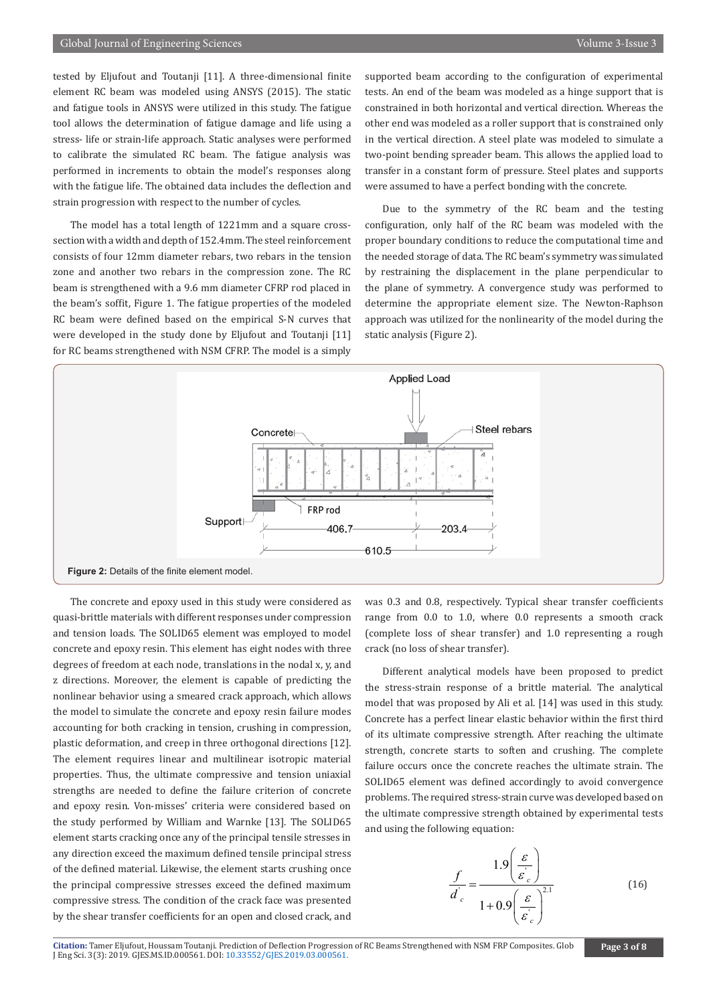tested by Eljufout and Toutanji [11]. A three-dimensional finite element RC beam was modeled using ANSYS (2015). The static and fatigue tools in ANSYS were utilized in this study. The fatigue tool allows the determination of fatigue damage and life using a stress- life or strain-life approach. Static analyses were performed to calibrate the simulated RC beam. The fatigue analysis was performed in increments to obtain the model's responses along with the fatigue life. The obtained data includes the deflection and strain progression with respect to the number of cycles.

The model has a total length of 1221mm and a square crosssection with a width and depth of 152.4mm. The steel reinforcement consists of four 12mm diameter rebars, two rebars in the tension zone and another two rebars in the compression zone. The RC beam is strengthened with a 9.6 mm diameter CFRP rod placed in the beam's soffit, Figure 1. The fatigue properties of the modeled RC beam were defined based on the empirical S-N curves that were developed in the study done by Eljufout and Toutanji [11] for RC beams strengthened with NSM CFRP. The model is a simply

supported beam according to the configuration of experimental tests. An end of the beam was modeled as a hinge support that is constrained in both horizontal and vertical direction. Whereas the other end was modeled as a roller support that is constrained only in the vertical direction. A steel plate was modeled to simulate a two-point bending spreader beam. This allows the applied load to transfer in a constant form of pressure. Steel plates and supports were assumed to have a perfect bonding with the concrete.

Due to the symmetry of the RC beam and the testing configuration, only half of the RC beam was modeled with the proper boundary conditions to reduce the computational time and the needed storage of data. The RC beam's symmetry was simulated by restraining the displacement in the plane perpendicular to the plane of symmetry. A convergence study was performed to determine the appropriate element size. The Newton-Raphson approach was utilized for the nonlinearity of the model during the static analysis (Figure 2).



The concrete and epoxy used in this study were considered as quasi-brittle materials with different responses under compression and tension loads. The SOLID65 element was employed to model concrete and epoxy resin. This element has eight nodes with three degrees of freedom at each node, translations in the nodal x, y, and z directions. Moreover, the element is capable of predicting the nonlinear behavior using a smeared crack approach, which allows the model to simulate the concrete and epoxy resin failure modes accounting for both cracking in tension, crushing in compression, plastic deformation, and creep in three orthogonal directions [12]. The element requires linear and multilinear isotropic material properties. Thus, the ultimate compressive and tension uniaxial strengths are needed to define the failure criterion of concrete and epoxy resin. Von-misses' criteria were considered based on the study performed by William and Warnke [13]. The SOLID65 element starts cracking once any of the principal tensile stresses in any direction exceed the maximum defined tensile principal stress of the defined material. Likewise, the element starts crushing once the principal compressive stresses exceed the defined maximum compressive stress. The condition of the crack face was presented by the shear transfer coefficients for an open and closed crack, and

was 0.3 and 0.8, respectively. Typical shear transfer coefficients range from 0.0 to 1.0, where 0.0 represents a smooth crack (complete loss of shear transfer) and 1.0 representing a rough crack (no loss of shear transfer).

Different analytical models have been proposed to predict the stress-strain response of a brittle material. The analytical model that was proposed by Ali et al. [14] was used in this study. Concrete has a perfect linear elastic behavior within the first third of its ultimate compressive strength. After reaching the ultimate strength, concrete starts to soften and crushing. The complete failure occurs once the concrete reaches the ultimate strain. The SOLID65 element was defined accordingly to avoid convergence problems. The required stress-strain curve was developed based on the ultimate compressive strength obtained by experimental tests and using the following equation:

$$
\frac{f}{d'_{c}} = \frac{1.9\left(\frac{\varepsilon}{\varepsilon'_{c}}\right)}{1 + 0.9\left(\frac{\varepsilon}{\varepsilon'_{c}}\right)^{2.1}}
$$
(16)

**Citation:** Tamer Eljufout, Houssam Toutanji. P[rediction of Deflection Progressio](http://dx.doi.org/10.33552/GJES.2019.03.000561)n of RC Beams Strengthened with NSM FRP Composites. Glob J Eng Sci. 3(3): 2019. GJES.MS.ID.000561. DOI: 10.33552/GJES.2019.03.000561.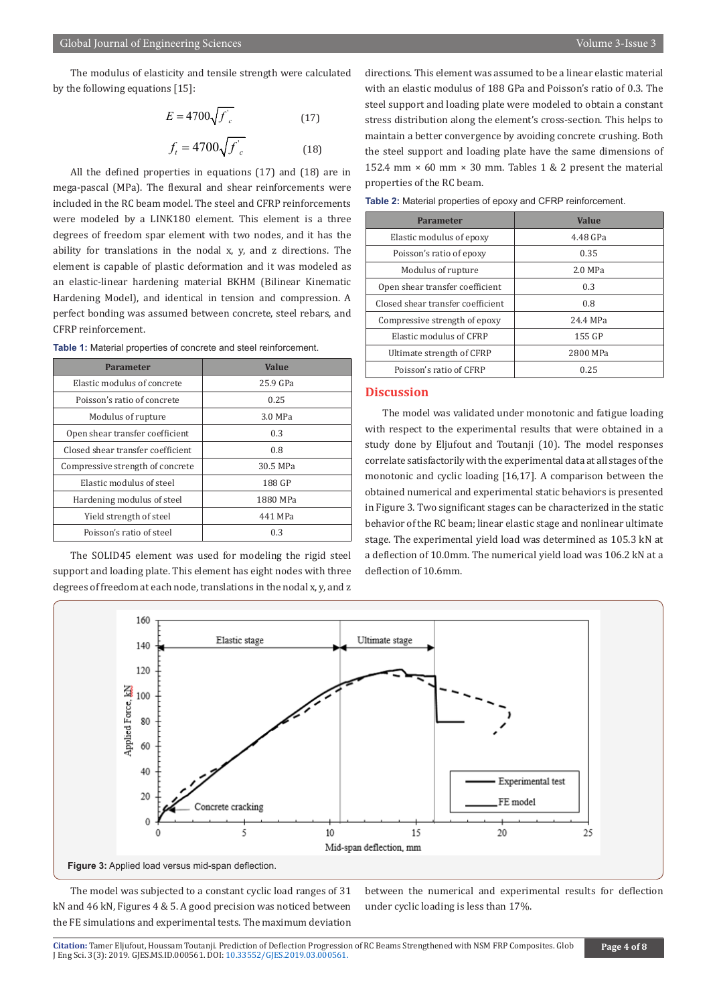The modulus of elasticity and tensile strength were calculated by the following equations [15]:

$$
E = 4700 \sqrt{f'_c}
$$
 (17)  

$$
f_t = 4700 \sqrt{f'_c}
$$
 (18)

All the defined properties in equations (17) and (18) are in mega-pascal (MPa). The flexural and shear reinforcements were included in the RC beam model. The steel and CFRP reinforcements were modeled by a LINK180 element. This element is a three degrees of freedom spar element with two nodes, and it has the ability for translations in the nodal x, y, and z directions. The element is capable of plastic deformation and it was modeled as an elastic-linear hardening material BKHM (Bilinear Kinematic Hardening Model), and identical in tension and compression. A perfect bonding was assumed between concrete, steel rebars, and CFRP reinforcement.

**Table 1:** Material properties of concrete and steel reinforcement.

| <b>Parameter</b>                  | <b>Value</b> |  |  |
|-----------------------------------|--------------|--|--|
| Elastic modulus of concrete       | 25.9 GPa     |  |  |
| Poisson's ratio of concrete       | 0.25         |  |  |
| Modulus of rupture                | 3.0 MPa      |  |  |
| Open shear transfer coefficient   | 0.3          |  |  |
| Closed shear transfer coefficient | 0.8          |  |  |
| Compressive strength of concrete  | 30.5 MPa     |  |  |
| Elastic modulus of steel          | 188 GP       |  |  |
| Hardening modulus of steel        | 1880 MPa     |  |  |
| Yield strength of steel           | 441 MPa      |  |  |
| Poisson's ratio of steel          | 0.3          |  |  |

The SOLID45 element was used for modeling the rigid steel support and loading plate. This element has eight nodes with three degrees of freedom at each node, translations in the nodal x, y, and z directions. This element was assumed to be a linear elastic material with an elastic modulus of 188 GPa and Poisson's ratio of 0.3. The steel support and loading plate were modeled to obtain a constant stress distribution along the element's cross-section. This helps to maintain a better convergence by avoiding concrete crushing. Both the steel support and loading plate have the same dimensions of 152.4 mm  $\times$  60 mm  $\times$  30 mm. Tables 1 & 2 present the material properties of the RC beam.

| <b>Parameter</b>                  | Value     |  |  |
|-----------------------------------|-----------|--|--|
| Elastic modulus of epoxy          | 4.48 GPa  |  |  |
| Poisson's ratio of epoxy          | 0.35      |  |  |
| Modulus of rupture                | $2.0$ MPa |  |  |
| Open shear transfer coefficient   | 0.3       |  |  |
| Closed shear transfer coefficient | 0.8       |  |  |
| Compressive strength of epoxy     | 24.4 MPa  |  |  |
| Elastic modulus of CFRP           | 155 GP    |  |  |
| Ultimate strength of CFRP         | 2800 MPa  |  |  |
| Poisson's ratio of CFRP           | 0.25      |  |  |

**Table 2:** Material properties of epoxy and CFRP reinforcement.

#### **Discussion**

The model was validated under monotonic and fatigue loading with respect to the experimental results that were obtained in a study done by Eljufout and Toutanji (10). The model responses correlate satisfactorily with the experimental data at all stages of the monotonic and cyclic loading [16,17]. A comparison between the obtained numerical and experimental static behaviors is presented in Figure 3. Two significant stages can be characterized in the static behavior of the RC beam; linear elastic stage and nonlinear ultimate stage. The experimental yield load was determined as 105.3 kN at a deflection of 10.0mm. The numerical yield load was 106.2 kN at a deflection of 10.6mm.



The model was subjected to a constant cyclic load ranges of 31 kN and 46 kN, Figures 4 & 5. A good precision was noticed between the FE simulations and experimental tests. The maximum deviation between the numerical and experimental results for deflection under cyclic loading is less than 17%.

Citation: Tamer Eljufout, Houssam Toutanji. P[rediction of Deflection Progressio](http://dx.doi.org/10.33552/GJES.2019.03.000561)n of RC Beams Strengthened with NSM FRP Composites. Glob<br>J Eng Sci. 3(3): 2019. GJES.MS.ID.000561. DOI: 10.33552/GJES.2019.03.000561.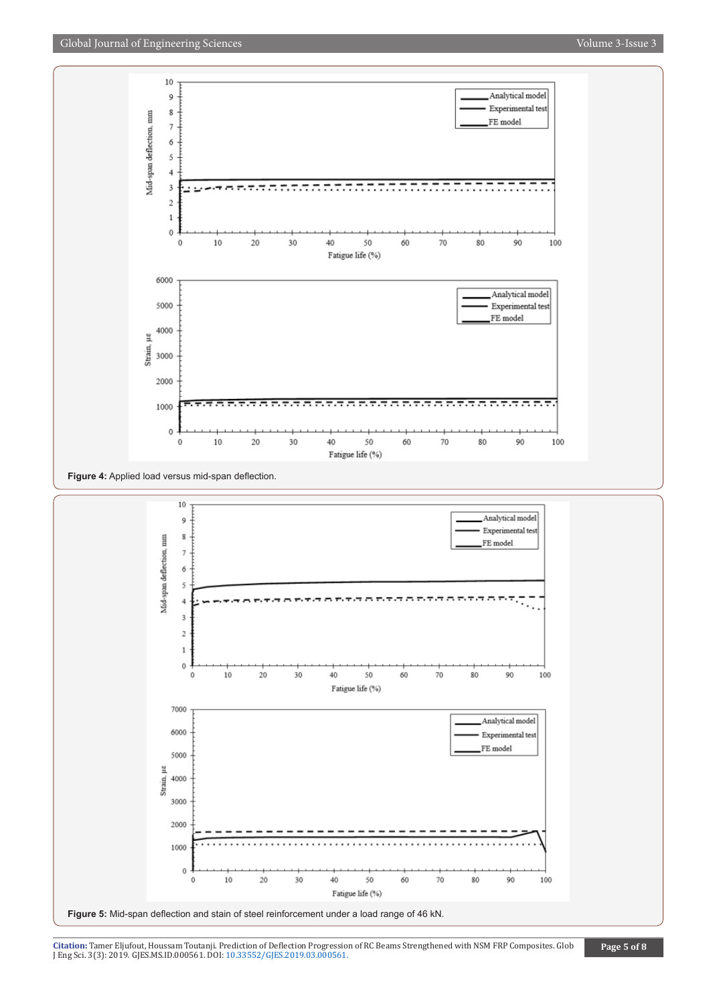

**Citation:** Tamer Eljufout, Houssam Toutanji. P[rediction of Deflection Progressio](http://dx.doi.org/10.33552/GJES.2019.03.000561)n of RC Beams Strengthened with NSM FRP Composites. Glob J Eng Sci. 3(3): 2019. GJES.MS.ID.000561. DOI: 10.33552/GJES.2019.03.000561.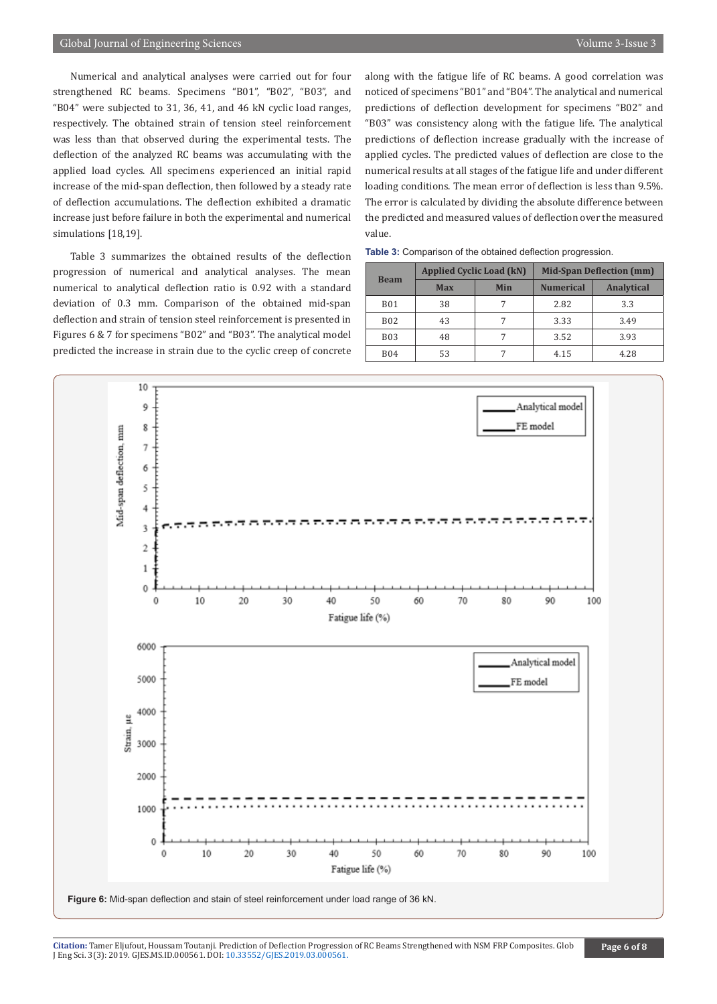Numerical and analytical analyses were carried out for four strengthened RC beams. Specimens "B01", "B02", "B03", and "B04" were subjected to 31, 36, 41, and 46 kN cyclic load ranges, respectively. The obtained strain of tension steel reinforcement was less than that observed during the experimental tests. The deflection of the analyzed RC beams was accumulating with the applied load cycles. All specimens experienced an initial rapid increase of the mid-span deflection, then followed by a steady rate of deflection accumulations. The deflection exhibited a dramatic increase just before failure in both the experimental and numerical simulations [18,19].

Table 3 summarizes the obtained results of the deflection progression of numerical and analytical analyses. The mean numerical to analytical deflection ratio is 0.92 with a standard deviation of 0.3 mm. Comparison of the obtained mid-span deflection and strain of tension steel reinforcement is presented in Figures 6 & 7 for specimens "B02" and "B03". The analytical model predicted the increase in strain due to the cyclic creep of concrete along with the fatigue life of RC beams. A good correlation was noticed of specimens "B01" and "B04". The analytical and numerical predictions of deflection development for specimens "B02" and "B03" was consistency along with the fatigue life. The analytical predictions of deflection increase gradually with the increase of applied cycles. The predicted values of deflection are close to the numerical results at all stages of the fatigue life and under different loading conditions. The mean error of deflection is less than 9.5%. The error is calculated by dividing the absolute difference between the predicted and measured values of deflection over the measured value.

|  |  | Table 3: Comparison of the obtained deflection progression. |  |  |  |  |
|--|--|-------------------------------------------------------------|--|--|--|--|
|--|--|-------------------------------------------------------------|--|--|--|--|

| <b>Beam</b> | <b>Applied Cyclic Load (kN)</b> |            | <b>Mid-Span Deflection (mm)</b> |                   |  |
|-------------|---------------------------------|------------|---------------------------------|-------------------|--|
|             | <b>Max</b>                      | <b>Min</b> | <b>Numerical</b>                | <b>Analytical</b> |  |
| <b>B01</b>  | 38                              |            | 2.82                            | 3.3               |  |
| <b>B02</b>  | 43                              |            | 3.33                            | 3.49              |  |
| <b>B03</b>  | 48                              |            | 3.52                            | 3.93              |  |
| <b>B04</b>  | 53                              |            | 4.15                            | 4.28              |  |



Citation: Tamer Eljufout, Houssam Toutanji. P[rediction of Deflection Progressio](http://dx.doi.org/10.33552/GJES.2019.03.000561)n of RC Beams Strengthened with NSM FRP Composites. Glob<br>J Eng Sci. 3(3): 2019. GJES.MS.ID.000561. DOI: 10.33552/GJES.2019.03.000561.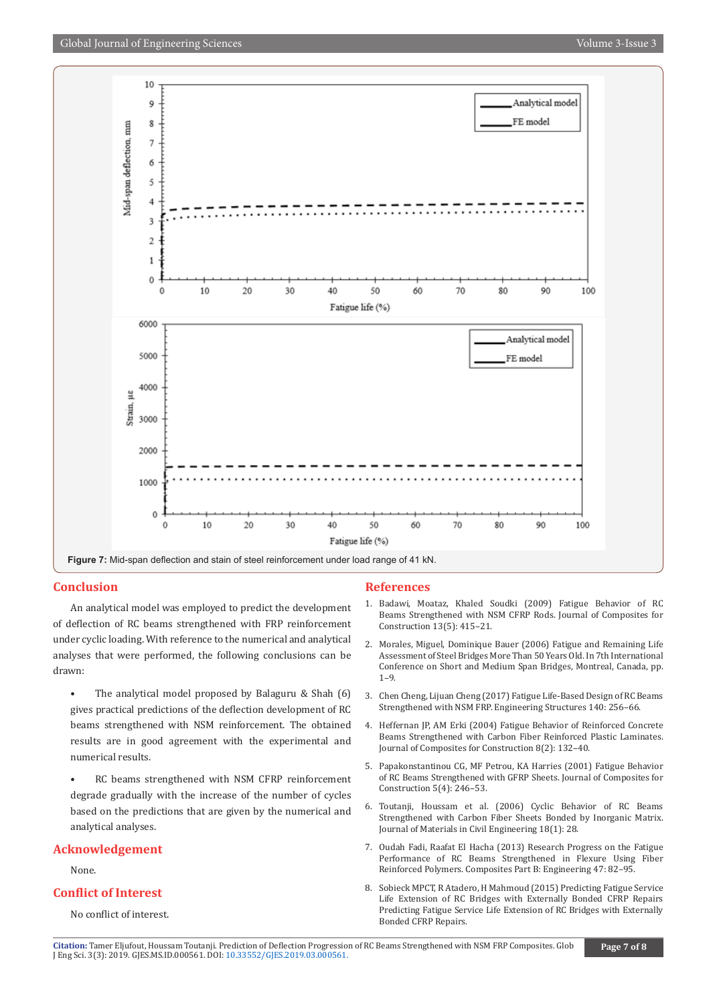

#### **Conclusion**

An analytical model was employed to predict the development of deflection of RC beams strengthened with FRP reinforcement under cyclic loading. With reference to the numerical and analytical analyses that were performed, the following conclusions can be drawn:

- The analytical model proposed by Balaguru & Shah (6) gives practical predictions of the deflection development of RC beams strengthened with NSM reinforcement. The obtained results are in good agreement with the experimental and numerical results.
- RC beams strengthened with NSM CFRP reinforcement degrade gradually with the increase of the number of cycles based on the predictions that are given by the numerical and analytical analyses.

#### **Acknowledgement**

None.

#### **Conflict of Interest**

No conflict of interest.

#### **References**

- 1. [Badawi, Moataz, Khaled Soudki \(2009\) Fatigue Behavior of RC](https://ascelibrary.org/doi/10.1061/%28ASCE%291090-0268%282009%2913%3A5%28415%29)  [Beams Strengthened with NSM CFRP Rods. Journal of Composites for](https://ascelibrary.org/doi/10.1061/%28ASCE%291090-0268%282009%2913%3A5%28415%29)  [Construction 13\(5\): 415–21.](https://ascelibrary.org/doi/10.1061/%28ASCE%291090-0268%282009%2913%3A5%28415%29)
- 2. Morales, Miguel, Dominique Bauer (2006) Fatigue and Remaining Life Assessment of Steel Bridges More Than 50 Years Old. In 7th International Conference on Short and Medium Span Bridges, Montreal, Canada, pp. 1–9.
- 3. [Chen Cheng, Lijuan Cheng \(2017\) Fatigue Life-Based Design of RC Beams](https://www.sciencedirect.com/science/article/pii/S0141029617306764)  [Strengthened with NSM FRP. Engineering Structures 140: 256–66.](https://www.sciencedirect.com/science/article/pii/S0141029617306764)
- 4. [Heffernan JP, AM Erki \(2004\) Fatigue Behavior of Reinforced Concrete](https://ascelibrary.org/doi/abs/10.1061/(ASCE)1090-0268(2004)8:2(132))  [Beams Strengthened with Carbon Fiber Reinforced Plastic Laminates.](https://ascelibrary.org/doi/abs/10.1061/(ASCE)1090-0268(2004)8:2(132))  [Journal of Composites for Construction 8\(2\): 132–40.](https://ascelibrary.org/doi/abs/10.1061/(ASCE)1090-0268(2004)8:2(132))
- 5. [Papakonstantinou CG, MF Petrou, KA Harries \(2001\) Fatigue Behavior](https://ascelibrary.org/doi/10.1061/%28ASCE%291090-0268%282001%295%3A4%28246%29)  [of RC Beams Strengthened with GFRP Sheets. Journal of Composites for](https://ascelibrary.org/doi/10.1061/%28ASCE%291090-0268%282001%295%3A4%28246%29)  [Construction 5\(4\): 246–53.](https://ascelibrary.org/doi/10.1061/%28ASCE%291090-0268%282001%295%3A4%28246%29)
- 6. [Toutanji, Houssam et al. \(2006\) Cyclic Behavior of RC Beams](https://ascelibrary.org/doi/abs/10.1061/%28ASCE%290899-1561%282006%2918%3A1%2828%29)  [Strengthened with Carbon Fiber Sheets Bonded by Inorganic Matrix.](https://ascelibrary.org/doi/abs/10.1061/%28ASCE%290899-1561%282006%2918%3A1%2828%29)  [Journal of Materials in Civil Engineering 18\(1\): 28.](https://ascelibrary.org/doi/abs/10.1061/%28ASCE%290899-1561%282006%2918%3A1%2828%29)
- 7. [Oudah Fadi, Raafat El Hacha \(2013\) Research Progress on the Fatigue](https://www.sciencedirect.com/science/article/pii/S1359836812006075?via%3Dihub)  [Performance of RC Beams Strengthened in Flexure Using Fiber](https://www.sciencedirect.com/science/article/pii/S1359836812006075?via%3Dihub)  [Reinforced Polymers. Composites Part B: Engineering 47: 82–95.](https://www.sciencedirect.com/science/article/pii/S1359836812006075?via%3Dihub)
- 8. [Sobieck MPCT, R Atadero, H Mahmoud \(2015\) Predicting Fatigue Service](https://www.ugpti.org/resources/reports/downloads/mpc15-292.pdf)  [Life Extension of RC Bridges with Externally Bonded CFRP Repairs](https://www.ugpti.org/resources/reports/downloads/mpc15-292.pdf)  [Predicting Fatigue Service Life Extension of RC Bridges with Externally](https://www.ugpti.org/resources/reports/downloads/mpc15-292.pdf)  [Bonded CFRP Repairs.](https://www.ugpti.org/resources/reports/downloads/mpc15-292.pdf)